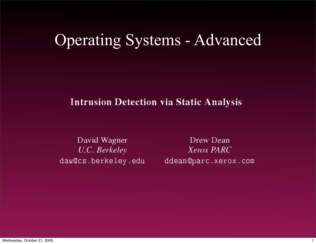## Operating Systems - Advanced

#### **Intrusion Detection via Static Analysis**

David Wagner U.C. Berkeley daw@cs.berkeley.edu

Drew Dean Xerox PARC ddean@parc.xerox.com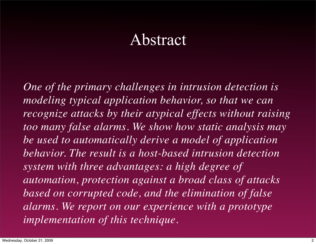#### Abstract

*One of the primary challenges in intrusion detection is modeling typical application behavior, so that we can recognize attacks by their atypical effects without raising too many false alarms. We show how static analysis may be used to automatically derive a model of application behavior. The result is a host-based intrusion detection system with three advantages: a high degree of automation, protection against a broad class of attacks based on corrupted code, and the elimination of false alarms. We report on our experience with a prototype implementation of this technique.*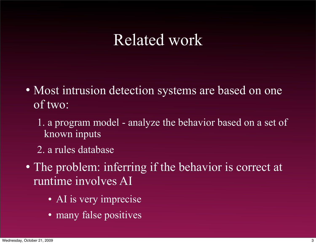#### Related work

- Most intrusion detection systems are based on one of two:
	- 1. a program model analyze the behavior based on a set of known inputs
	- 2. a rules database
- The problem: inferring if the behavior is correct at runtime involves AI
	- AI is very imprecise
	- many false positives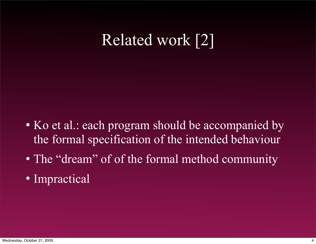## Related work [2]

- Ko et al.: each program should be accompanied by the formal specification of the intended behaviour
- The "dream" of of the formal method community
- Impractical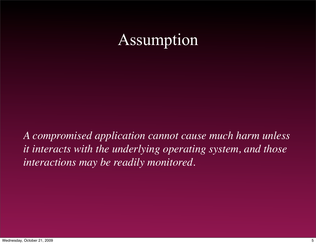## Assumption

*A compromised application cannot cause much harm unless it interacts with the underlying operating system, and those interactions may be readily monitored.*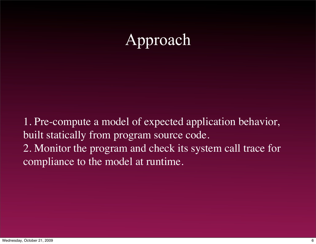## Approach

1. Pre-compute a model of expected application behavior, built statically from program source code. 2. Monitor the program and check its system call trace for compliance to the model at runtime.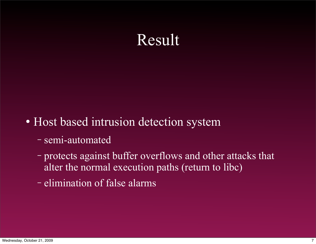## Result

- Host based intrusion detection system
	- − semi-automated
	- − protects against buffer overflows and other attacks that alter the normal execution paths (return to libc)
	- − elimination of false alarms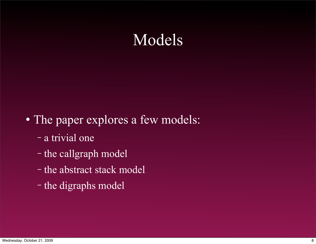#### Models

- The paper explores a few models:
	- − a trivial one
	- − the callgraph model
	- − the abstract stack model
	- − the digraphs model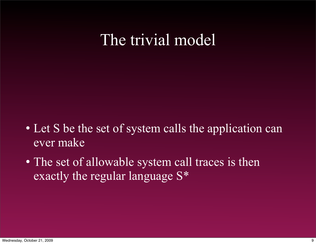#### The trivial model

- Let S be the set of system calls the application can ever make
- The set of allowable system call traces is then exactly the regular language S\*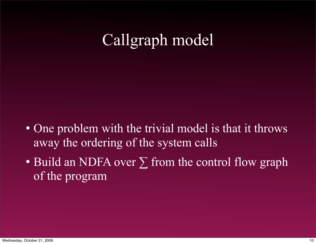## Callgraph model

- One problem with the trivial model is that it throws away the ordering of the system calls
- Build an NDFA over  $\Sigma$  from the control flow graph of the program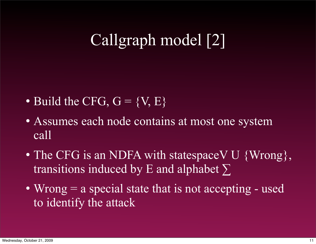## Callgraph model [2]

- Build the CFG,  $G = \{V, E\}$
- Assumes each node contains at most one system call
- The CFG is an NDFA with statespaceV U {Wrong}, transitions induced by E and alphabet ∑
- $\bullet$  Wrong  $=$  a special state that is not accepting used to identify the attack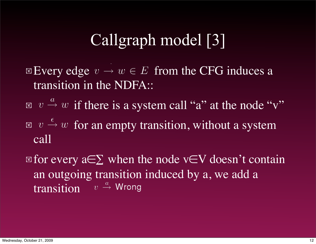## Callgraph model [3]

Every edge  $v \to w \in E$  from the CFG induces a transition in the NDFA::

- $\boxed{w \overset{a}{\rightarrow} w$  if there is a system call "a" at the node "v"
- $\mathbb{E}$   $v \stackrel{\epsilon}{\rightarrow} w$  for an empty transition, without a system call
- $\mathbb{E}$  for every a∈∑ when the node v∈V doesn't contain an outgoing transition induced by a, we add a transition  $v \stackrel{a}{\rightarrow} W$ rong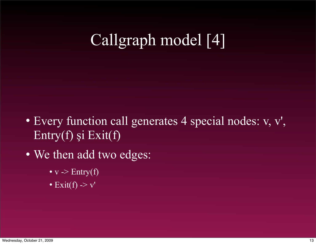## Callgraph model [4]

- Every function call generates 4 special nodes: v, v', Entry(f) şi Exit(f)
- We then add two edges:
	- $v \rightarrow$  Entry(f)
	- Exit(f)  $\rightarrow$  v'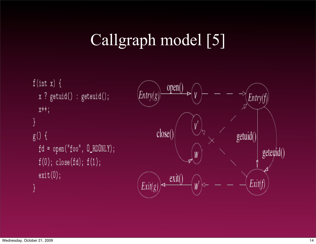## Callgraph model [5]

```
f(int x) \{x ? getuid() : geteuid();
 x++;g() {
fd = open("foo", D_RDDNLY);f(0); close(fd); f(1);
 exit(0);
```
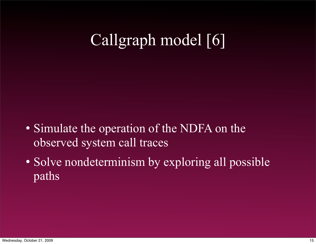# Callgraph model [6]

- Simulate the operation of the NDFA on the observed system call traces
- Solve nondeterminism by exploring all possible paths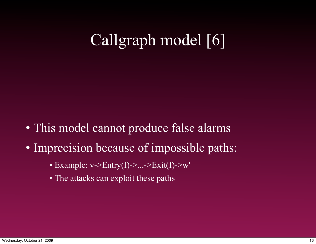## Callgraph model [6]

- This model cannot produce false alarms
- Imprecision because of impossible paths:
	- $\bullet$  Example: v->Entry(f)->...->Exit(f)->w'
	- The attacks can exploit these paths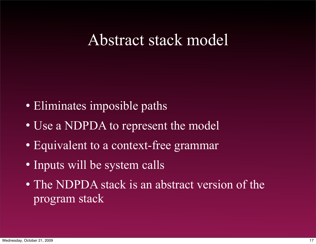#### Abstract stack model

- Eliminates imposible paths
- Use a NDPDA to represent the model
- Equivalent to a context-free grammar
- Inputs will be system calls
- The NDPDA stack is an abstract version of the program stack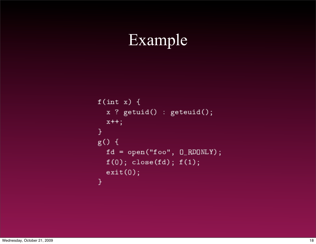## Example

```
f(int x) {
 x ? getuid() : geteuid();
 x++;\mathcal{Y}g() \{fd = open("foo", 0_RDOMLY);f(0); close(fd); f(1);exit(0);\mathcal{Y}
```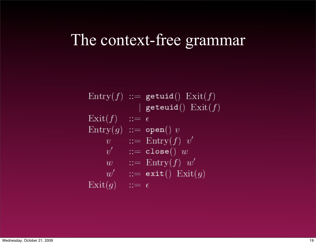#### The context-free grammar

 $Entry(f) ::= getuid() Exist(f)$ | geteuid $()$   $\mathrm{Exit}(f)$  $\mathrm{Exit}(f)$  ::=  $\epsilon$  $Entropy(g) ::= open() v$  $v$  ::= Entry(f) v'  $v'$  :  $=$  close()  $w$  $w$  ::= Entry(f)  $w'$  $w'$  ::= exit()  $\text{Exit}(g)$  $\mathrm{Exit}(g)$  ::=  $\epsilon$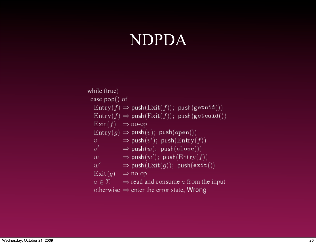#### NDPDA

while (true) case  $pop()$  of  $Entropy(f) \Rightarrow push(Exit(f)); push(getuid())$  $Entropy(f) \Rightarrow push(Exit(f)); push(geteuid())$  $\text{Exit}(f) \Rightarrow \text{no-op}$  $Entropy(g) \Rightarrow push(v); push(open())$  $v \Rightarrow \text{push}(v')$ ;  $\text{push}(\text{Entry}(f))$  $v' \Rightarrow \text{push}(w); \text{ push}(\texttt{close}())$  $w \Rightarrow \text{push}(w')$ ;  $\text{push}(\text{Entry}(f))$  $w'$   $\Rightarrow$  push(Exit(g)); push(exit())  $\text{Exit}(g) \Rightarrow \text{no-op}$  $a \in \Sigma$   $\Rightarrow$  read and consume a from the input otherwise  $\Rightarrow$  enter the error state, Wrong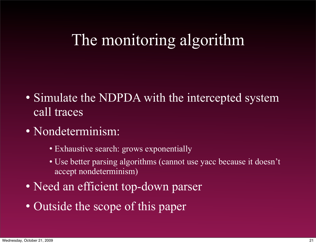## The monitoring algorithm

- Simulate the NDPDA with the intercepted system call traces
- Nondeterminism:
	- Exhaustive search: grows exponentially
	- Use better parsing algorithms (cannot use yacc because it doesn't accept nondeterminism)
- Need an efficient top-down parser
- Outside the scope of this paper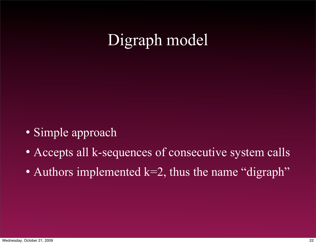## Digraph model

- Simple approach
- Accepts all k-sequences of consecutive system calls
- Authors implemented  $k=2$ , thus the name "digraph"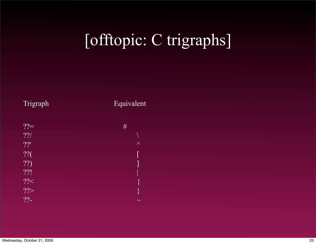# [offtopic: C trigraphs]



#### Trigraph Equivalent

| $?? =$ | #                  |
|--------|--------------------|
| 22/    |                    |
| 22'    | $\wedge$           |
| ??     |                    |
| ??)    |                    |
| ??!    |                    |
| ? ? <  | $\big\{$           |
| ??     | $\left\{ \right\}$ |
| $22 -$ | $\sim$             |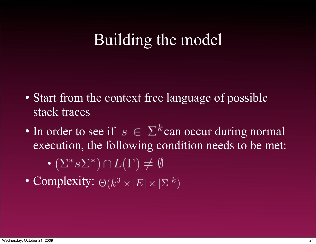## Building the model

- Start from the context free language of possible stack traces
- In order to see if  $s \in \Sigma^k$  can occur during normal execution, the following condition needs to be met:

$$
\bullet (\Sigma^* s \Sigma^*) \cap L(\Gamma) \neq \emptyset
$$

• Complexity:  $\Theta(k^3 \times |E| \times |\Sigma|^k)$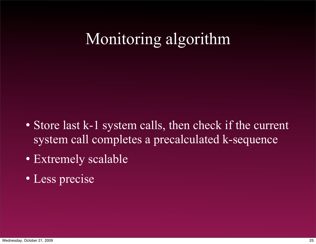## Monitoring algorithm

- Store last k-1 system calls, then check if the current system call completes a precalculated k-sequence
- Extremely scalable
- Less precise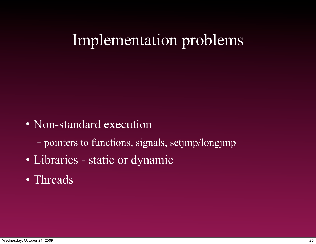## Implementation problems

- Non-standard execution
	- − pointers to functions, signals, setjmp/longjmp
- Libraries static or dynamic
- Threads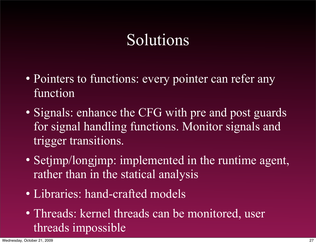## Solutions

- Pointers to functions: every pointer can refer any function
- Signals: enhance the CFG with pre and post guards for signal handling functions. Monitor signals and trigger transitions.
- Setjmp/longjmp: implemented in the runtime agent, rather than in the statical analysis
- Libraries: hand-crafted models
- Threads: kernel threads can be monitored, user threads impossible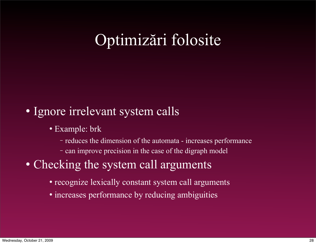## Optimizări folosite

#### • Ignore irrelevant system calls

- Example: brk
	- − reduces the dimension of the automata increases performance
	- − can improve precision in the case of the digraph model

#### • Checking the system call arguments

- recognize lexically constant system call arguments
- increases performance by reducing ambiguities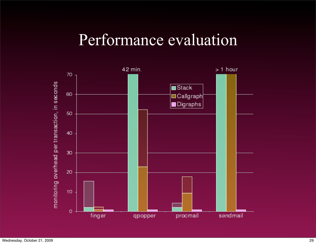#### Performance evaluation

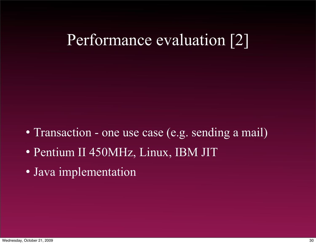## Performance evaluation [2]

- Transaction one use case (e.g. sending a mail)
- Pentium II 450MHz, Linux, IBM JIT
- Java implementation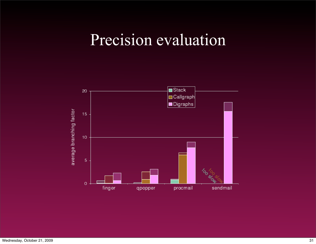## Precision evaluation

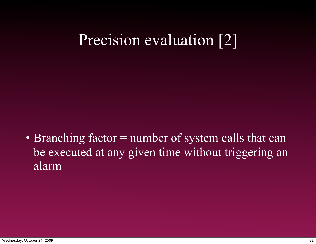## Precision evaluation [2]

• Branching factor = number of system calls that can be executed at any given time without triggering an alarm